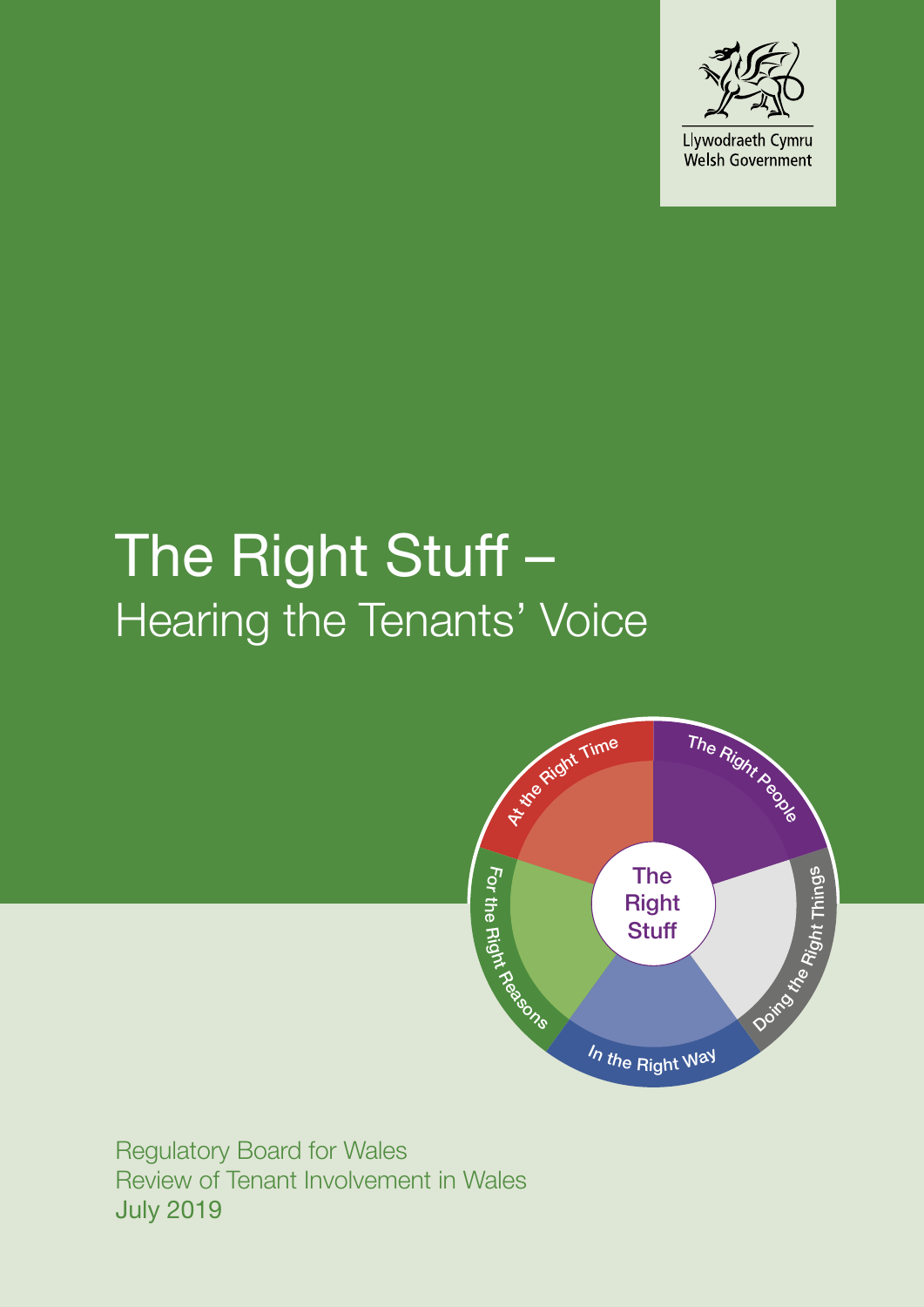

# The Right Stuff -Hearing the Tenants' Voice



Regulatory Board for Wales Review of Tenant Involvement in Wales July 2019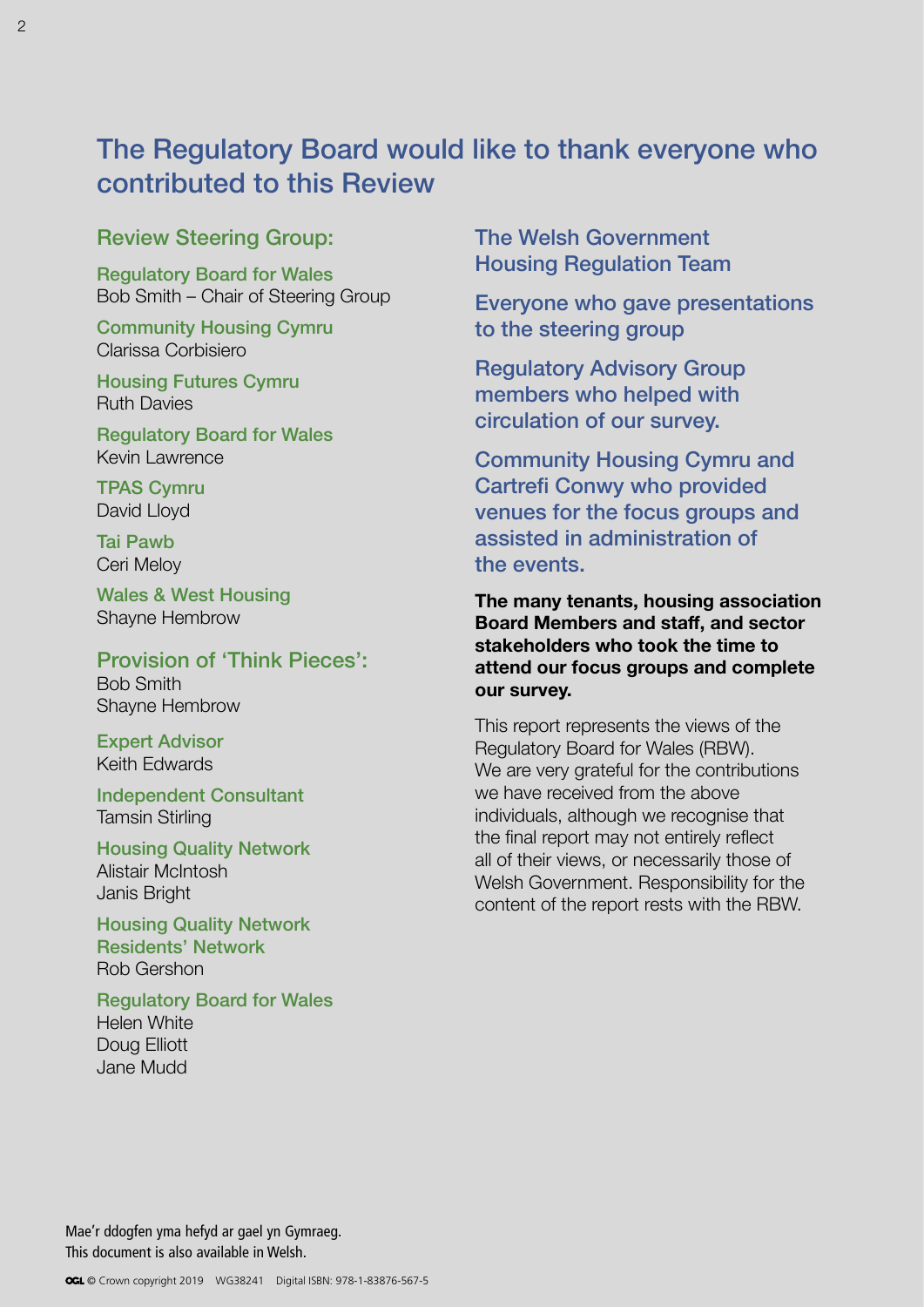# The Regulatory Board would like to thank everyone who contributed to this Review

### Review Steering Group:

Regulatory Board for Wales Bob Smith – Chair of Steering Group

Community Housing Cymru Clarissa Corbisiero

Housing Futures Cymru Ruth Davies

Regulatory Board for Wales Kevin Lawrence

TPAS Cymru David Lloyd

Tai Pawb Ceri Meloy

Wales & West Housing Shayne Hembrow

#### Provision of 'Think Pieces':

Bob Smith Shayne Hembrow

Expert Advisor Keith Edwards

Independent Consultant Tamsin Stirling

Housing Quality Network Alistair McIntosh Janis Bright

Housing Quality Network Residents' Network Rob Gershon

Regulatory Board for Wales Helen White Doug Elliott Jane Mudd

The Welsh Government Housing Regulation Team

Everyone who gave presentations to the steering group

Regulatory Advisory Group members who helped with circulation of our survey.

Community Housing Cymru and Cartrefi Conwy who provided venues for the focus groups and assisted in administration of the events.

**The many tenants, housing association Board Members and staff, and sector stakeholders who took the time to attend our focus groups and complete our survey.**

This report represents the views of the Regulatory Board for Wales (RBW). We are very grateful for the contributions we have received from the above individuals, although we recognise that the final report may not entirely reflect all of their views, or necessarily those of Welsh Government. Responsibility for the content of the report rests with the RBW.

Mae'r ddogfen yma hefyd ar gael yn Gymraeg. This document is also available in Welsh.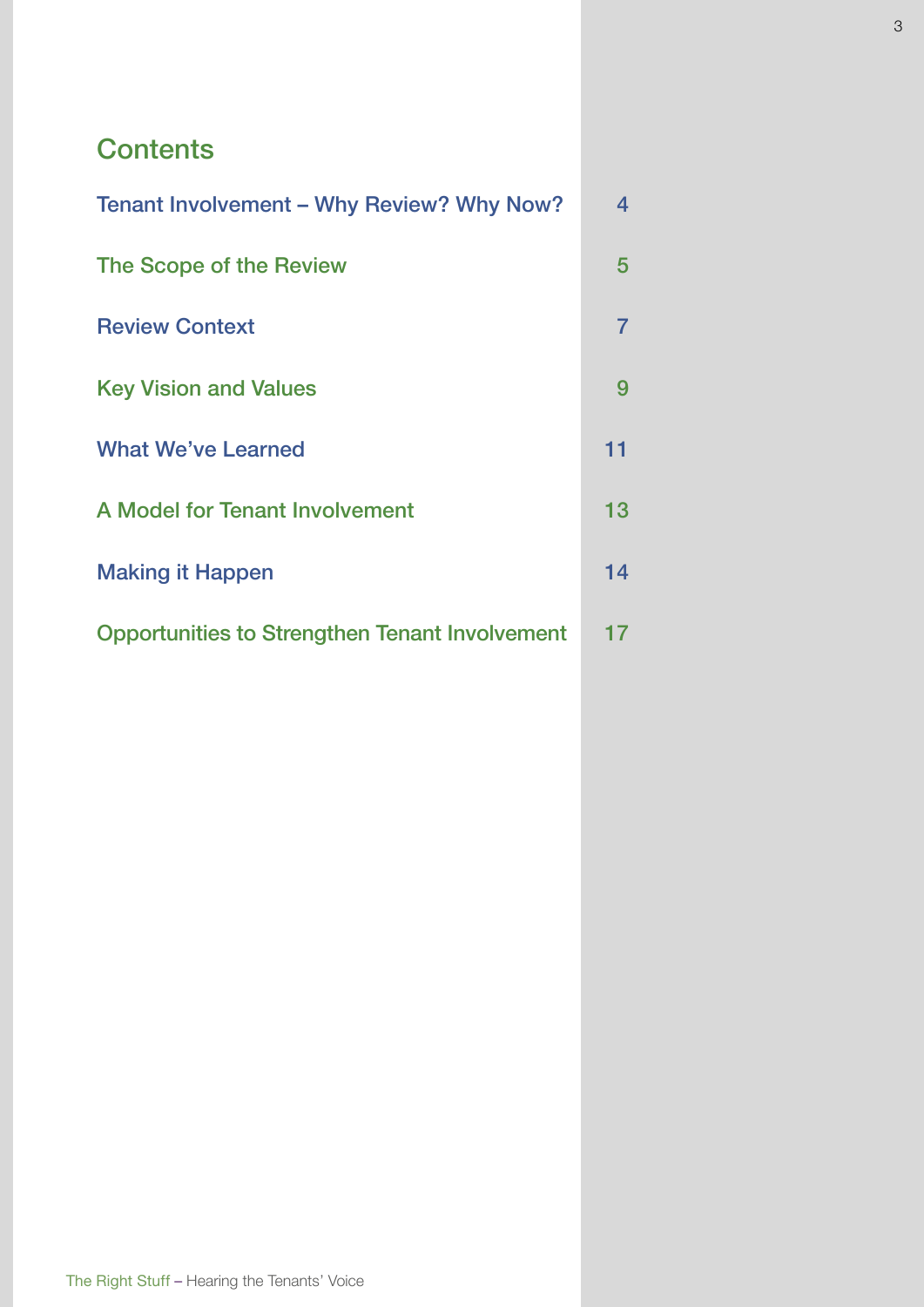# **Contents**

| Tenant Involvement – Why Review? Why Now?             |                |
|-------------------------------------------------------|----------------|
| The Scope of the Review                               |                |
| <b>Review Context</b>                                 | $\overline{7}$ |
| <b>Key Vision and Values</b>                          | 9              |
| <b>What We've Learned</b>                             | 11             |
| <b>A Model for Tenant Involvement</b>                 | 13             |
| <b>Making it Happen</b>                               | 14             |
| <b>Opportunities to Strengthen Tenant Involvement</b> | 17             |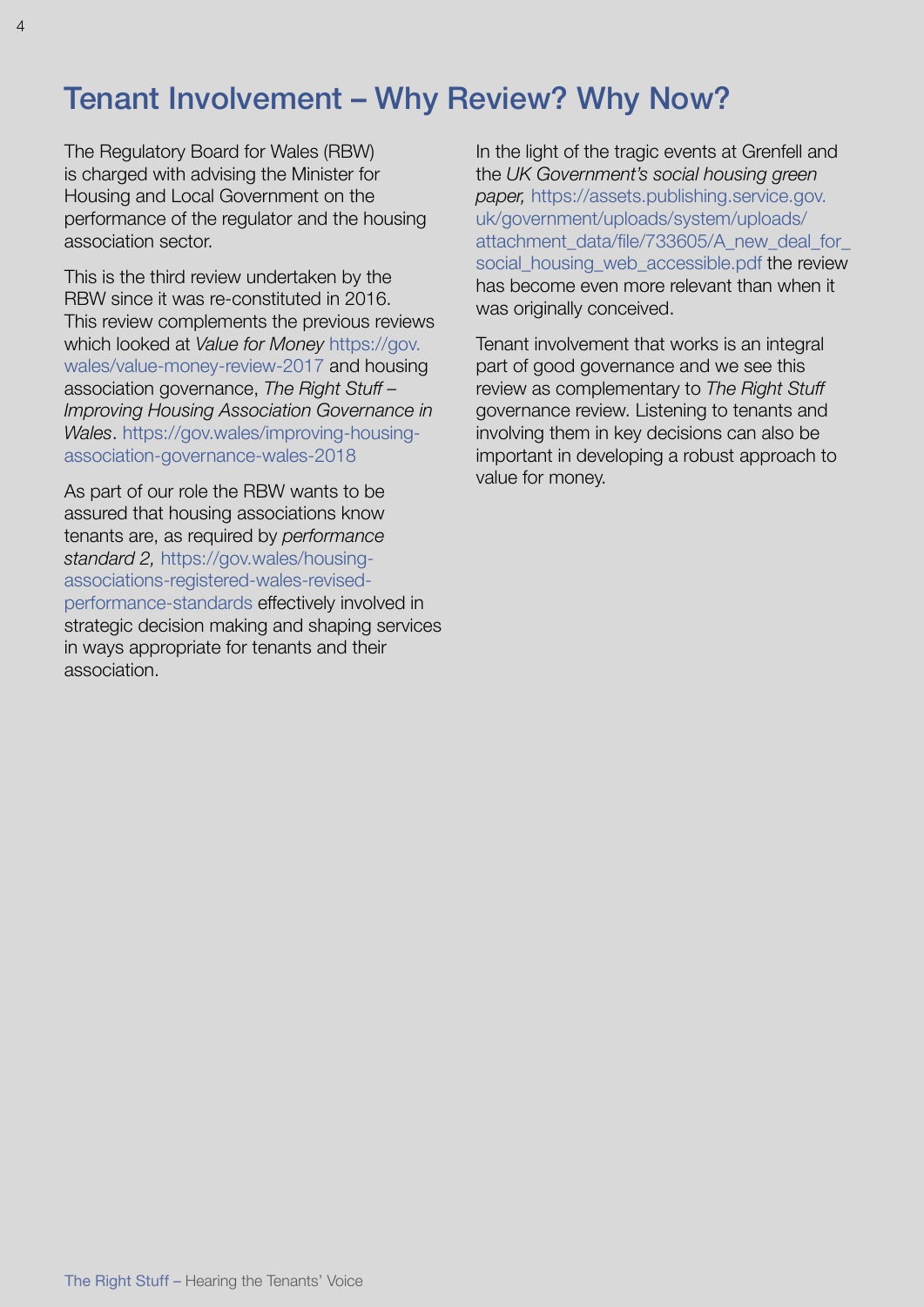# Tenant Involvement – Why Review? Why Now?

The Regulatory Board for Wales (RBW) is charged with advising the Minister for Housing and Local Government on the performance of the regulator and the housing association sector.

This is the third review undertaken by the RBW since it was re-constituted in 2016. This review complements the previous reviews which looked at *Value for Money* [https://gov.](https://gov.wales/value-money-review-2017) [wales/value-money-review-2017](https://gov.wales/value-money-review-2017) and housing association governance, *The Right Stuff – Improving Housing Association Governance in Wales*. [https://gov.wales/improving-housing](https://gov.wales/improving-housing-association-governance-wales-2018)[association-governance-wales-2018](https://gov.wales/improving-housing-association-governance-wales-2018)

As part of our role the RBW wants to be assured that housing associations know tenants are, as required by *performance standard 2,* [https://gov.wales/housing](https://gov.wales/housing-associations-registered-wales-revised-performance-standards)[associations-registered-wales-revised](https://gov.wales/housing-associations-registered-wales-revised-performance-standards)[performance-standards](https://gov.wales/housing-associations-registered-wales-revised-performance-standards) effectively involved in strategic decision making and shaping services in ways appropriate for tenants and their association.

In the light of the tragic events at Grenfell and the *UK Government's social housing green paper,* [https://assets.publishing.service.gov.](https://assets.publishing.service.gov.uk/government/uploads/system/uploads/attachment_data/file/733605/A_new_deal_for_social_housing_web_accessible.pdf) [uk/government/uploads/system/uploads/](https://assets.publishing.service.gov.uk/government/uploads/system/uploads/attachment_data/file/733605/A_new_deal_for_social_housing_web_accessible.pdf) attachment\_data/file/733605/A\_new\_deal\_for [social\\_housing\\_web\\_accessible.pdf](https://assets.publishing.service.gov.uk/government/uploads/system/uploads/attachment_data/file/733605/A_new_deal_for_social_housing_web_accessible.pdf) the review has become even more relevant than when it was originally conceived.

Tenant involvement that works is an integral part of good governance and we see this review as complementary to *The Right Stuff* governance review. Listening to tenants and involving them in key decisions can also be important in developing a robust approach to value for money.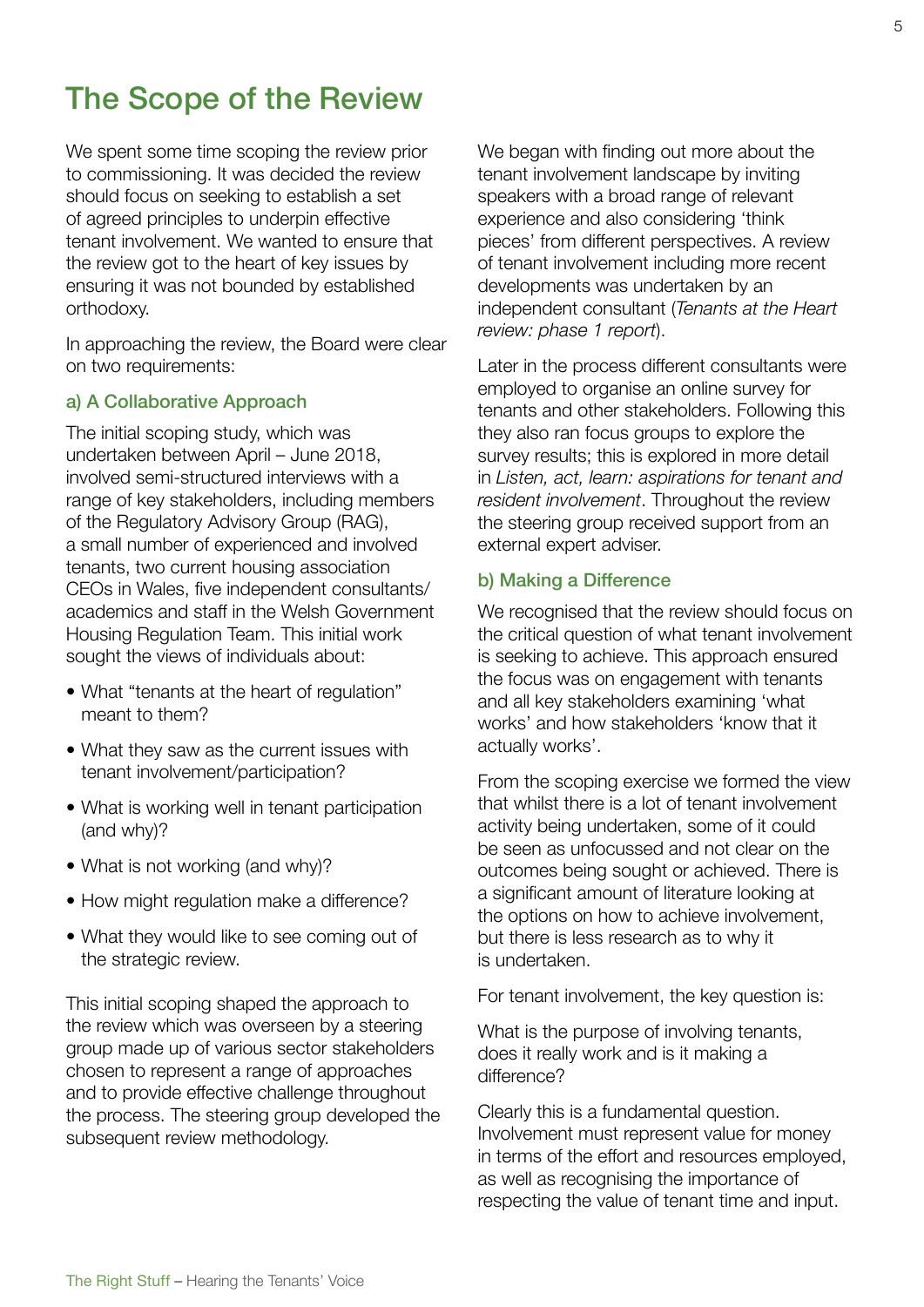# The Scope of the Review

We spent some time scoping the review prior to commissioning. It was decided the review should focus on seeking to establish a set of agreed principles to underpin effective tenant involvement. We wanted to ensure that the review got to the heart of key issues by ensuring it was not bounded by established orthodoxy.

In approaching the review, the Board were clear on two requirements:

#### a) A Collaborative Approach

The initial scoping study, which was undertaken between April – June 2018, involved semi-structured interviews with a range of key stakeholders, including members of the Regulatory Advisory Group (RAG), a small number of experienced and involved tenants, two current housing association CEOs in Wales, five independent consultants/ academics and staff in the Welsh Government Housing Regulation Team. This initial work sought the views of individuals about:

- What "tenants at the heart of regulation" meant to them?
- What they saw as the current issues with tenant involvement/participation?
- What is working well in tenant participation (and why)?
- What is not working (and why)?
- How might regulation make a difference?
- What they would like to see coming out of the strategic review.

This initial scoping shaped the approach to the review which was overseen by a steering group made up of various sector stakeholders chosen to represent a range of approaches and to provide effective challenge throughout the process. The steering group developed the subsequent review methodology.

We began with finding out more about the tenant involvement landscape by inviting speakers with a broad range of relevant experience and also considering 'think pieces' from different perspectives. A review of tenant involvement including more recent developments was undertaken by an independent consultant (*[Tenants at the Heart](https://gov.wales/regulatory-board-wales-independent-report-tenant-involvement)  [review: phase 1 report](https://gov.wales/regulatory-board-wales-independent-report-tenant-involvement)*).

Later in the process different consultants were employed to organise an online survey for tenants and other stakeholders. Following this they also ran focus groups to explore the survey results; this is explored in more detail in *[Listen, act, learn: aspirations for tenant and](https://gov.wales/regulatory-board-wales-findings-independent-review-tenant-involvement)  [resident involvement](https://gov.wales/regulatory-board-wales-findings-independent-review-tenant-involvement)*. Throughout the review the steering group received support from an external expert adviser.

#### b) Making a Difference

We recognised that the review should focus on the critical question of what tenant involvement is seeking to achieve. This approach ensured the focus was on engagement with tenants and all key stakeholders examining 'what works' and how stakeholders 'know that it actually works'.

From the scoping exercise we formed the view that whilst there is a lot of tenant involvement activity being undertaken, some of it could be seen as unfocussed and not clear on the outcomes being sought or achieved. There is a significant amount of literature looking at the options on how to achieve involvement, but there is less research as to why it is undertaken.

For tenant involvement, the key question is:

What is the purpose of involving tenants, does it really work and is it making a difference?

Clearly this is a fundamental question. Involvement must represent value for money in terms of the effort and resources employed, as well as recognising the importance of respecting the value of tenant time and input.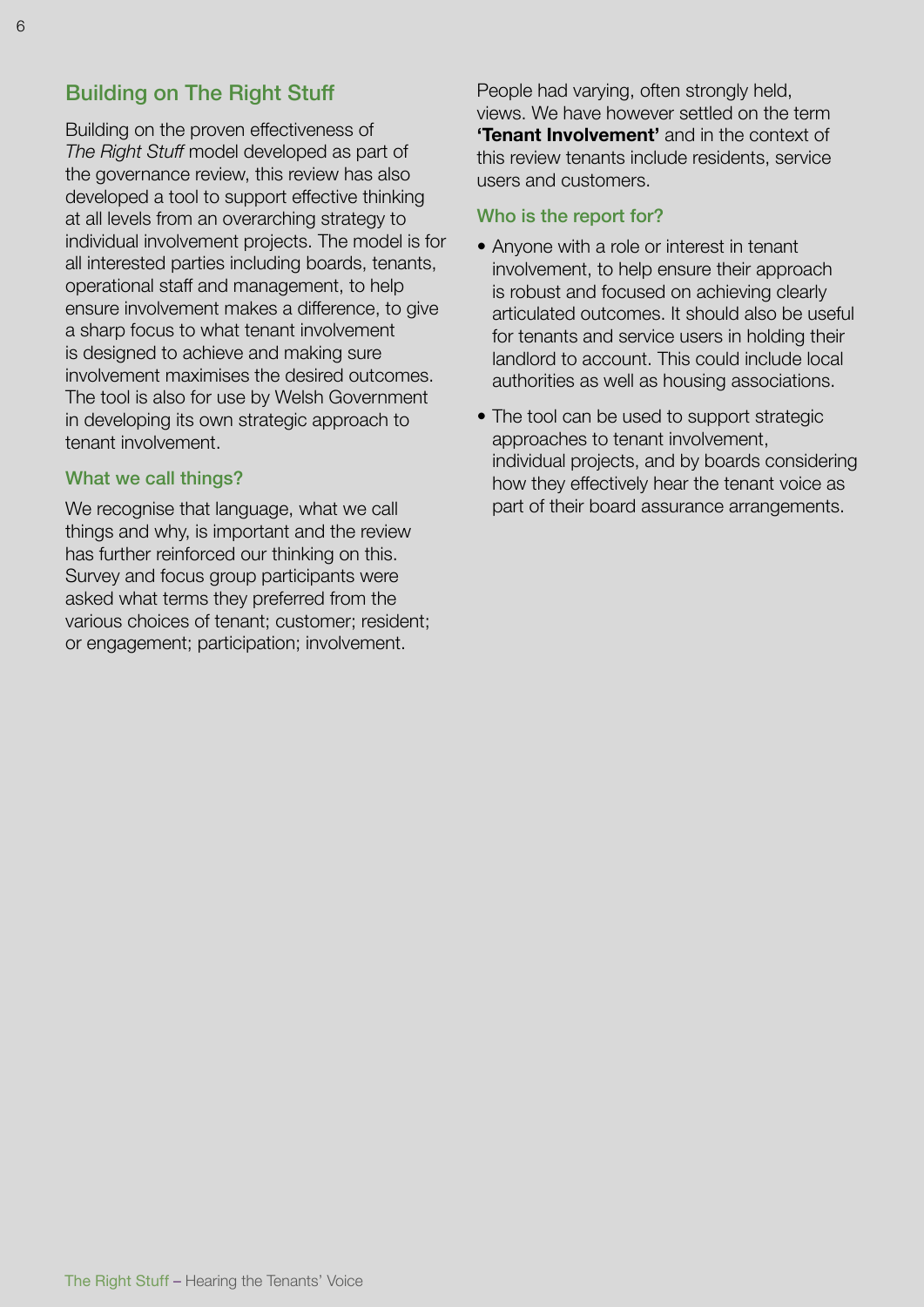# Building on The Right Stuff

Building on the proven effectiveness of *The Right Stuff* model developed as part of the governance review, this review has also developed a tool to support effective thinking at all levels from an overarching strategy to individual involvement projects. The model is for all interested parties including boards, tenants, operational staff and management, to help ensure involvement makes a difference, to give a sharp focus to what tenant involvement is designed to achieve and making sure involvement maximises the desired outcomes. The tool is also for use by Welsh Government in developing its own strategic approach to tenant involvement.

#### What we call things?

We recognise that language, what we call things and why, is important and the review has further reinforced our thinking on this. Survey and focus group participants were asked what terms they preferred from the various choices of tenant; customer; resident; or engagement; participation; involvement.

People had varying, often strongly held, views. We have however settled on the term **'Tenant Involvement'** and in the context of this review tenants include residents, service users and customers.

#### Who is the report for?

- Anyone with a role or interest in tenant involvement, to help ensure their approach is robust and focused on achieving clearly articulated outcomes. It should also be useful for tenants and service users in holding their landlord to account. This could include local authorities as well as housing associations.
- The tool can be used to support strategic approaches to tenant involvement, individual projects, and by boards considering how they effectively hear the tenant voice as part of their board assurance arrangements.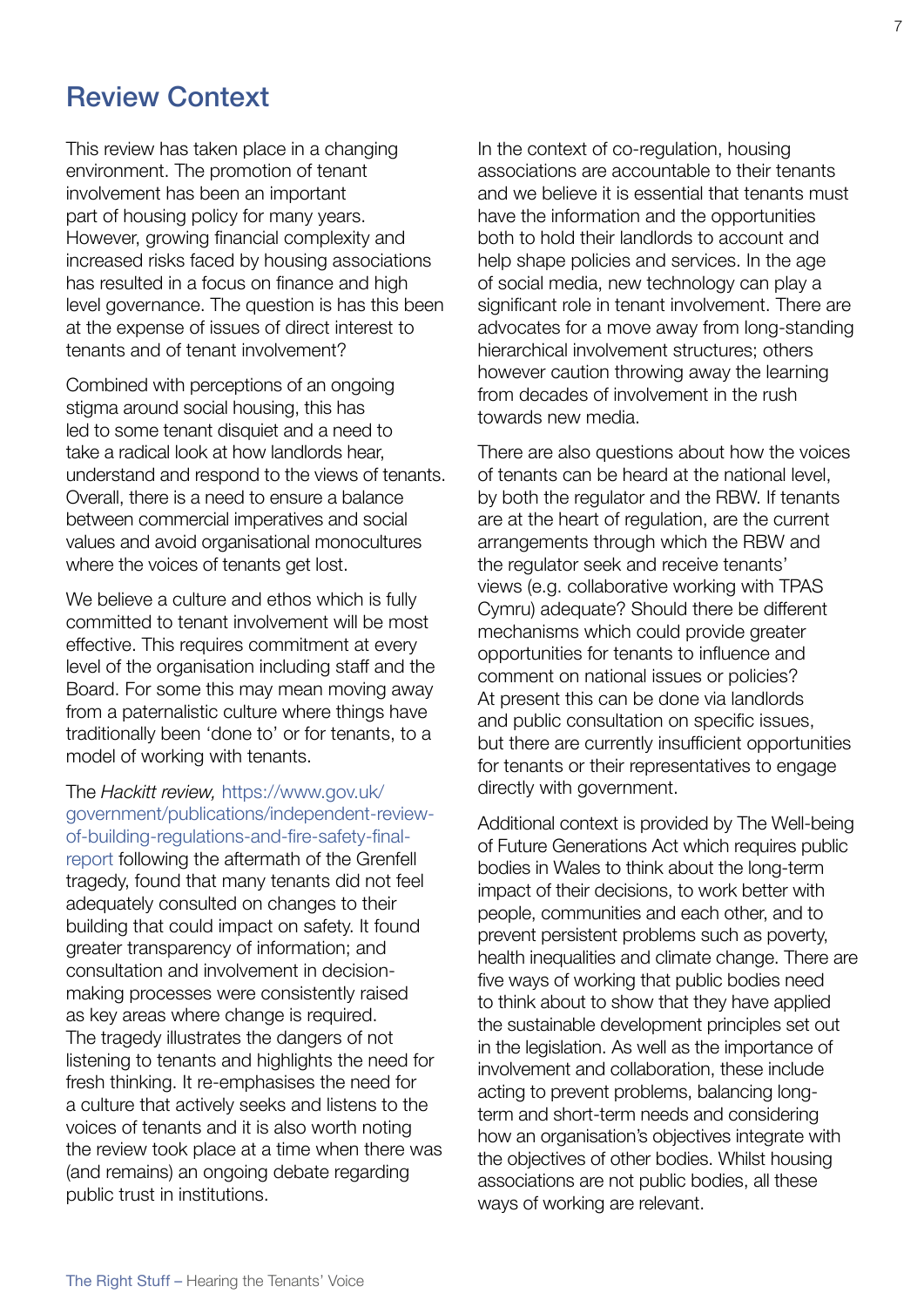# Review Context

This review has taken place in a changing environment. The promotion of tenant involvement has been an important part of housing policy for many years. However, growing financial complexity and increased risks faced by housing associations has resulted in a focus on finance and high level governance. The question is has this been at the expense of issues of direct interest to tenants and of tenant involvement?

Combined with perceptions of an ongoing stigma around social housing, this has led to some tenant disquiet and a need to take a radical look at how landlords hear, understand and respond to the views of tenants. Overall, there is a need to ensure a balance between commercial imperatives and social values and avoid organisational monocultures where the voices of tenants get lost.

We believe a culture and ethos which is fully committed to tenant involvement will be most effective. This requires commitment at every level of the organisation including staff and the Board. For some this may mean moving away from a paternalistic culture where things have traditionally been 'done to' or for tenants, to a model of working with tenants.

#### The *Hackitt review,* [https://www.gov.uk/](https://www.gov.uk/government/publications/independent-review-of-building-regulations-and-fire-safety-final-report) [government/publications/independent-review](https://www.gov.uk/government/publications/independent-review-of-building-regulations-and-fire-safety-final-report)[of-building-regulations-and-fire-safety-final-](https://www.gov.uk/government/publications/independent-review-of-building-regulations-and-fire-safety-final-report)

[report](https://www.gov.uk/government/publications/independent-review-of-building-regulations-and-fire-safety-final-report) following the aftermath of the Grenfell tragedy, found that many tenants did not feel adequately consulted on changes to their building that could impact on safety. It found greater transparency of information; and consultation and involvement in decisionmaking processes were consistently raised as key areas where change is required. The tragedy illustrates the dangers of not listening to tenants and highlights the need for fresh thinking. It re-emphasises the need for a culture that actively seeks and listens to the voices of tenants and it is also worth noting the review took place at a time when there was (and remains) an ongoing debate regarding public trust in institutions.

In the context of co-regulation, housing associations are accountable to their tenants and we believe it is essential that tenants must have the information and the opportunities both to hold their landlords to account and help shape policies and services. In the age of social media, new technology can play a significant role in tenant involvement. There are advocates for a move away from long-standing hierarchical involvement structures; others however caution throwing away the learning from decades of involvement in the rush towards new media.

There are also questions about how the voices of tenants can be heard at the national level, by both the regulator and the RBW. If tenants are at the heart of regulation, are the current arrangements through which the RBW and the regulator seek and receive tenants' views (e.g. collaborative working with TPAS Cymru) adequate? Should there be different mechanisms which could provide greater opportunities for tenants to influence and comment on national issues or policies? At present this can be done via landlords and public consultation on specific issues, but there are currently insufficient opportunities for tenants or their representatives to engage directly with government.

Additional context is provided by The Well-being of Future Generations Act which requires public bodies in Wales to think about the long-term impact of their decisions, to work better with people, communities and each other, and to prevent persistent problems such as poverty, health inequalities and climate change. There are five ways of working that public bodies need to think about to show that they have applied the sustainable development principles set out in the legislation. As well as the importance of involvement and collaboration, these include acting to prevent problems, balancing longterm and short-term needs and considering how an organisation's objectives integrate with the objectives of other bodies. Whilst housing associations are not public bodies, all these ways of working are relevant.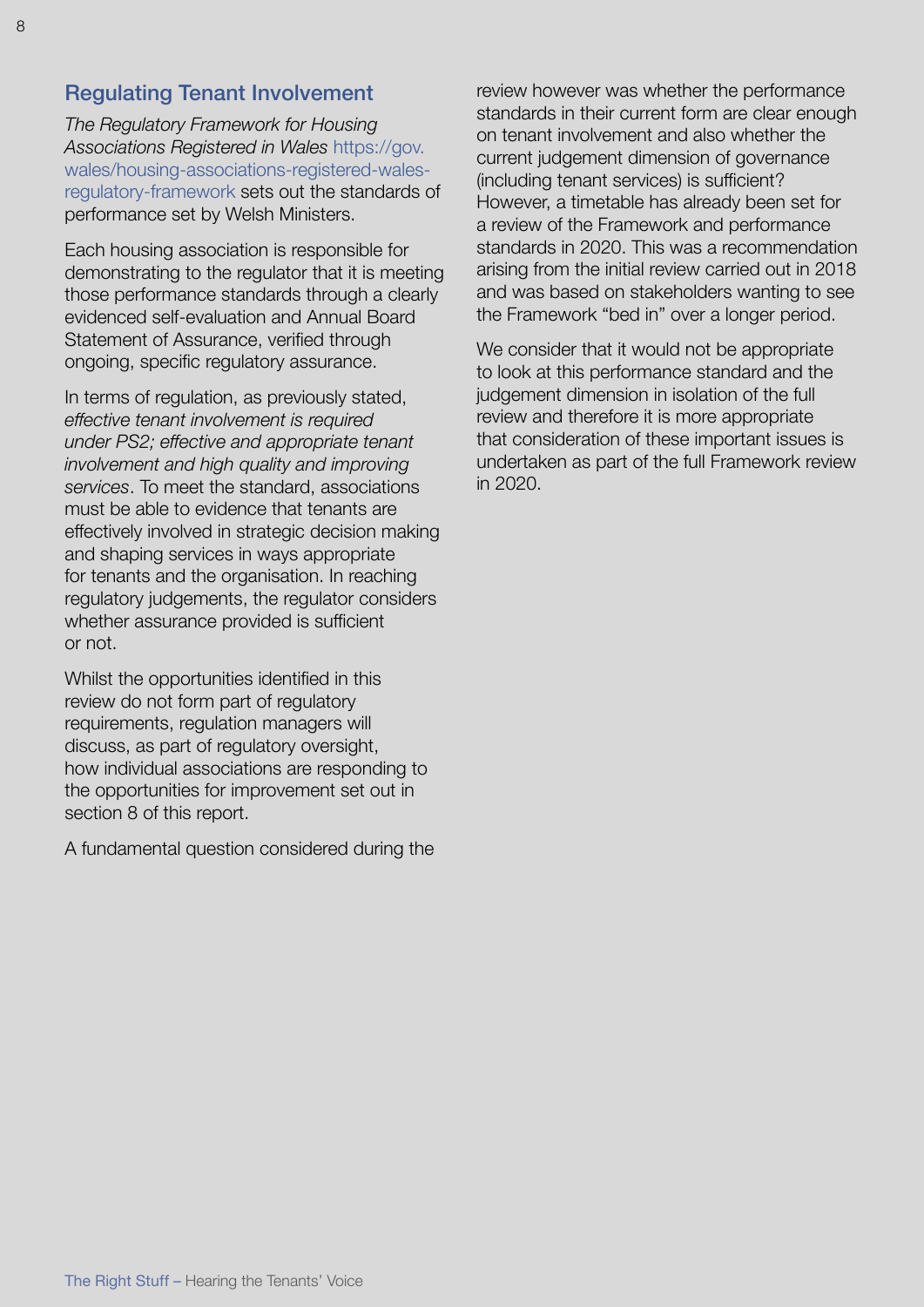## Regulating Tenant Involvement

*The Regulatory Framework for Housing Associations Registered in Wales* [https://gov.](https://gov.wales/housing-associations-registered-wales-regulatory-framework) [wales/housing-associations-registered-wales](https://gov.wales/housing-associations-registered-wales-regulatory-framework)[regulatory-framework](https://gov.wales/housing-associations-registered-wales-regulatory-framework) sets out the standards of performance set by Welsh Ministers.

Each housing association is responsible for demonstrating to the regulator that it is meeting those performance standards through a clearly evidenced self-evaluation and Annual Board Statement of Assurance, verified through ongoing, specific regulatory assurance.

In terms of regulation, as previously stated, *effective tenant involvement is required under PS2; effective and appropriate tenant involvement and high quality and improving services*. To meet the standard, associations must be able to evidence that tenants are effectively involved in strategic decision making and shaping services in ways appropriate for tenants and the organisation. In reaching regulatory judgements, the regulator considers whether assurance provided is sufficient or not.

Whilst the opportunities identified in this review do not form part of regulatory requirements, regulation managers will discuss, as part of regulatory oversight, how individual associations are responding to the opportunities for improvement set out in section 8 of this report.

A fundamental question considered during the

review however was whether the performance standards in their current form are clear enough on tenant involvement and also whether the current judgement dimension of governance (including tenant services) is sufficient? However, a timetable has already been set for a review of the Framework and performance standards in 2020. This was a recommendation arising from the initial review carried out in 2018 and was based on stakeholders wanting to see the Framework "bed in" over a longer period.

We consider that it would not be appropriate to look at this performance standard and the judgement dimension in isolation of the full review and therefore it is more appropriate that consideration of these important issues is undertaken as part of the full Framework review in 2020.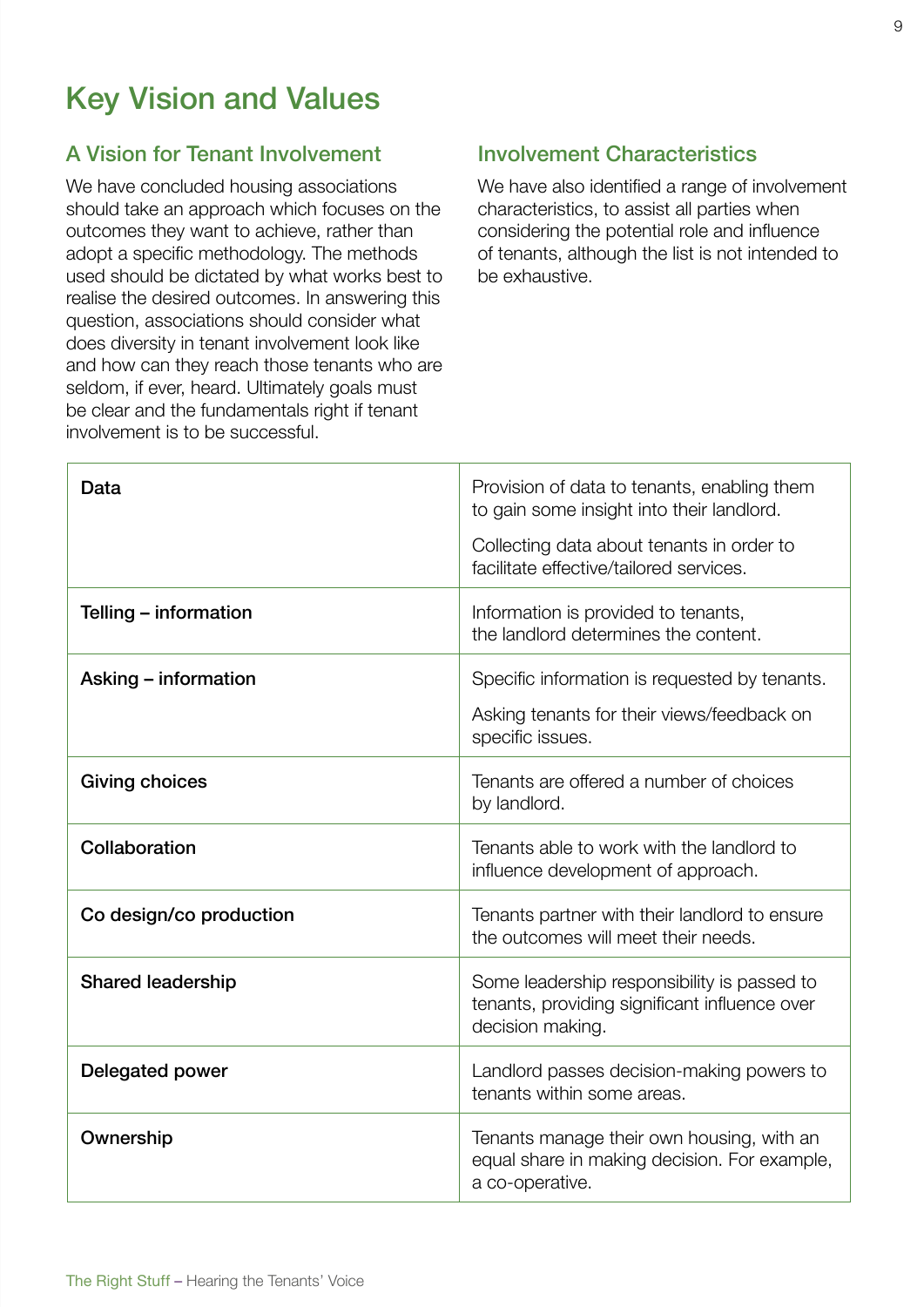# Key Vision and Values

### A Vision for Tenant Involvement

We have concluded housing associations should take an approach which focuses on the outcomes they want to achieve, rather than adopt a specific methodology. The methods used should be dictated by what works best to realise the desired outcomes. In answering this question, associations should consider what does diversity in tenant involvement look like and how can they reach those tenants who are seldom, if ever, heard. Ultimately goals must be clear and the fundamentals right if tenant involvement is to be successful.

# Involvement Characteristics

We have also identified a range of involvement characteristics, to assist all parties when considering the potential role and influence of tenants, although the list is not intended to be exhaustive.

| Data                     | Provision of data to tenants, enabling them<br>to gain some insight into their landlord.<br>Collecting data about tenants in order to<br>facilitate effective/tailored services. |
|--------------------------|----------------------------------------------------------------------------------------------------------------------------------------------------------------------------------|
| Telling – information    | Information is provided to tenants,<br>the landlord determines the content.                                                                                                      |
| Asking - information     | Specific information is requested by tenants.<br>Asking tenants for their views/feedback on<br>specific issues.                                                                  |
| <b>Giving choices</b>    | Tenants are offered a number of choices<br>by landlord.                                                                                                                          |
| Collaboration            | Tenants able to work with the landlord to<br>influence development of approach.                                                                                                  |
| Co design/co production  | Tenants partner with their landlord to ensure<br>the outcomes will meet their needs.                                                                                             |
| <b>Shared leadership</b> | Some leadership responsibility is passed to<br>tenants, providing significant influence over<br>decision making.                                                                 |
| Delegated power          | Landlord passes decision-making powers to<br>tenants within some areas.                                                                                                          |
| Ownership                | Tenants manage their own housing, with an<br>equal share in making decision. For example,<br>a co-operative.                                                                     |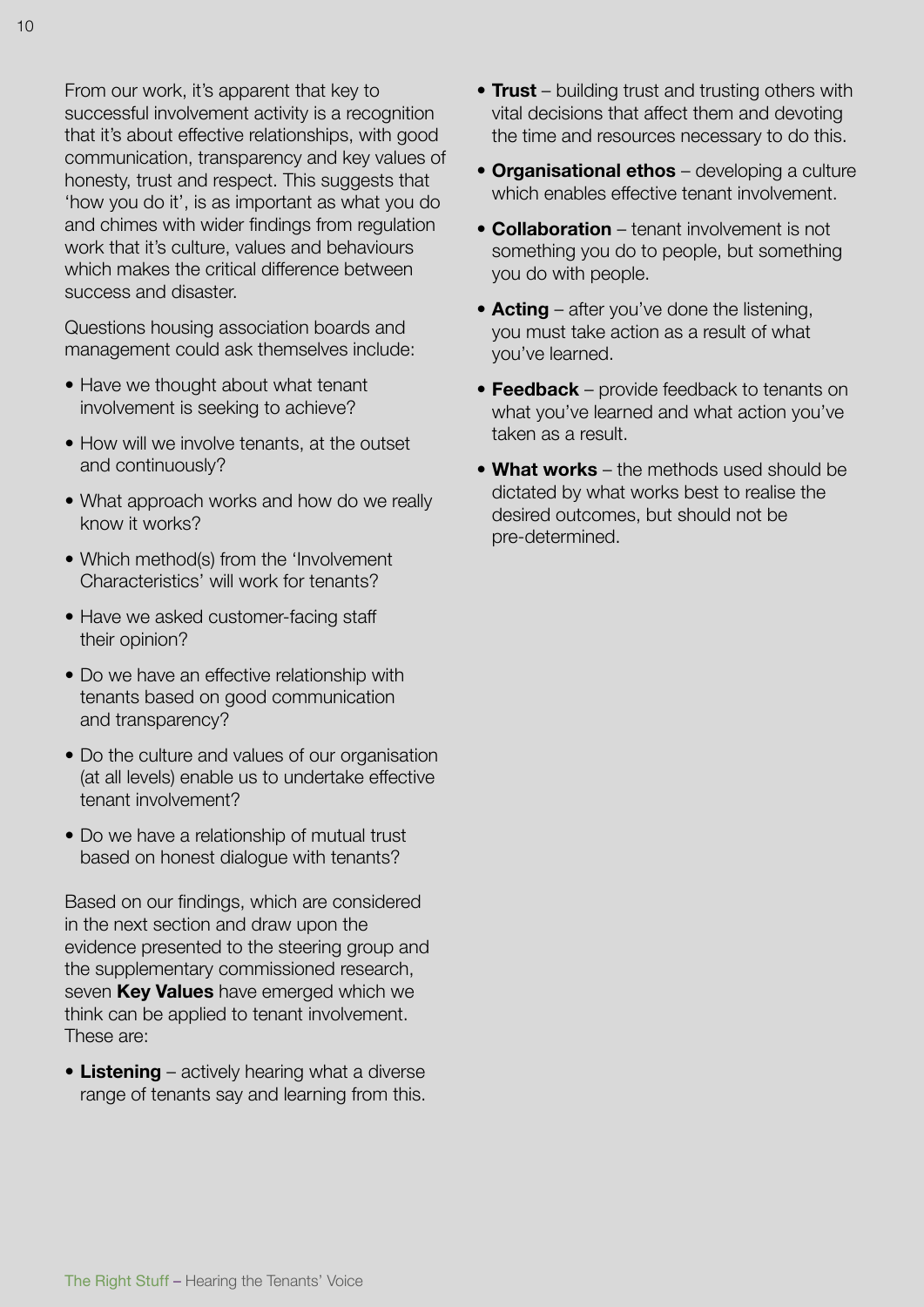From our work, it's apparent that key to successful involvement activity is a recognition that it's about effective relationships, with good communication, transparency and key values of honesty, trust and respect. This suggests that 'how you do it', is as important as what you do and chimes with wider findings from regulation work that it's culture, values and behaviours which makes the critical difference between success and disaster.

Questions housing association boards and management could ask themselves include:

- Have we thought about what tenant involvement is seeking to achieve?
- How will we involve tenants, at the outset and continuously?
- What approach works and how do we really know it works?
- Which method(s) from the 'Involvement Characteristics' will work for tenants?
- Have we asked customer-facing staff their opinion?
- Do we have an effective relationship with tenants based on good communication and transparency?
- Do the culture and values of our organisation (at all levels) enable us to undertake effective tenant involvement?
- Do we have a relationship of mutual trust based on honest dialogue with tenants?

Based on our findings, which are considered in the next section and draw upon the evidence presented to the steering group and the supplementary commissioned research, seven **Key Values** have emerged which we think can be applied to tenant involvement. These are:

• **Listening** – actively hearing what a diverse range of tenants say and learning from this.

- **Trust** building trust and trusting others with vital decisions that affect them and devoting the time and resources necessary to do this.
- **Organisational ethos** developing a culture which enables effective tenant involvement.
- **Collaboration** tenant involvement is not something you do to people, but something you do with people.
- **Acting** after you've done the listening, you must take action as a result of what you've learned.
- **Feedback** provide feedback to tenants on what you've learned and what action you've taken as a result.
- **What works** the methods used should be dictated by what works best to realise the desired outcomes, but should not be pre-determined.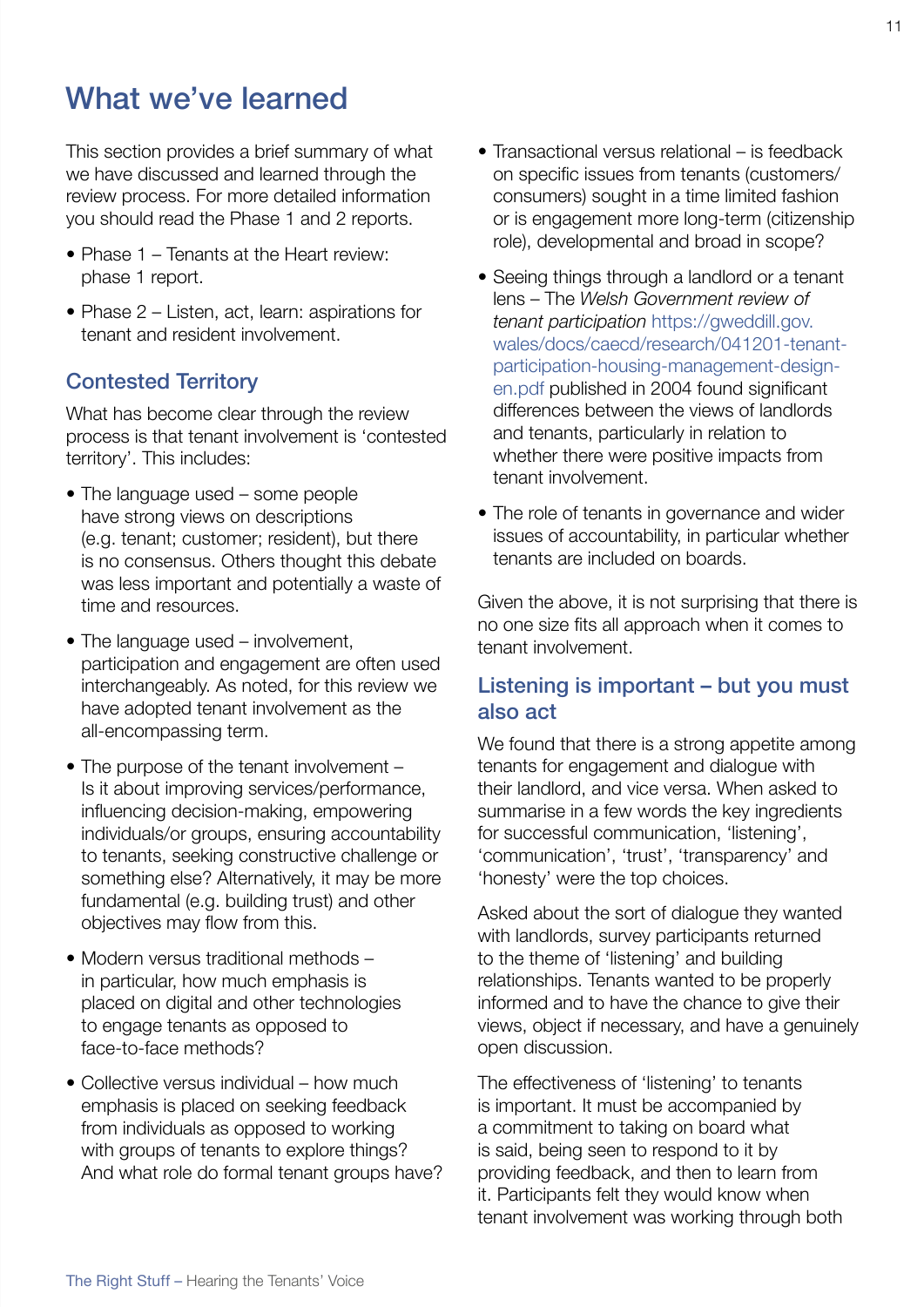# What we've learned

This section provides a brief summary of what we have discussed and learned through the review process. For more detailed information you should read the Phase 1 and 2 reports.

- Phase 1 Tenants at the Heart review: phase 1 report.
- Phase 2 Listen, act, learn: aspirations for tenant and resident involvement.

## Contested Territory

What has become clear through the review process is that tenant involvement is 'contested territory'. This includes:

- The language used some people have strong views on descriptions (e.g. tenant; customer; resident), but there is no consensus. Others thought this debate was less important and potentially a waste of time and resources.
- The language used involvement, participation and engagement are often used interchangeably. As noted, for this review we have adopted tenant involvement as the all-encompassing term.
- The purpose of the tenant involvement Is it about improving services/performance, influencing decision-making, empowering individuals/or groups, ensuring accountability to tenants, seeking constructive challenge or something else? Alternatively, it may be more fundamental (e.g. building trust) and other objectives may flow from this.
- Modern versus traditional methods in particular, how much emphasis is placed on digital and other technologies to engage tenants as opposed to face-to-face methods?
- Collective versus individual how much emphasis is placed on seeking feedback from individuals as opposed to working with groups of tenants to explore things? And what role do formal tenant groups have?
- Transactional versus relational is feedback on specific issues from tenants (customers/ consumers) sought in a time limited fashion or is engagement more long-term (citizenship role), developmental and broad in scope?
- Seeing things through a landlord or a tenant lens – The *Welsh Government review of tenant participation* [https://gweddill.gov.](https://gweddill.gov.wales/docs/caecd/research/041201-tenant-participation-housing-management-design-en.pdf) [wales/docs/caecd/research/041201-tenant](https://gweddill.gov.wales/docs/caecd/research/041201-tenant-participation-housing-management-design-en.pdf)[participation-housing-management-design](https://gweddill.gov.wales/docs/caecd/research/041201-tenant-participation-housing-management-design-en.pdf)[en.pdf](https://gweddill.gov.wales/docs/caecd/research/041201-tenant-participation-housing-management-design-en.pdf) published in 2004 found significant differences between the views of landlords and tenants, particularly in relation to whether there were positive impacts from tenant involvement.
- The role of tenants in governance and wider issues of accountability, in particular whether tenants are included on boards.

Given the above, it is not surprising that there is no one size fits all approach when it comes to tenant involvement.

## Listening is important – but you must also act

We found that there is a strong appetite among tenants for engagement and dialogue with their landlord, and vice versa. When asked to summarise in a few words the key ingredients for successful communication, 'listening', 'communication', 'trust', 'transparency' and 'honesty' were the top choices.

Asked about the sort of dialogue they wanted with landlords, survey participants returned to the theme of 'listening' and building relationships. Tenants wanted to be properly informed and to have the chance to give their views, object if necessary, and have a genuinely open discussion.

The effectiveness of 'listening' to tenants is important. It must be accompanied by a commitment to taking on board what is said, being seen to respond to it by providing feedback, and then to learn from it. Participants felt they would know when tenant involvement was working through both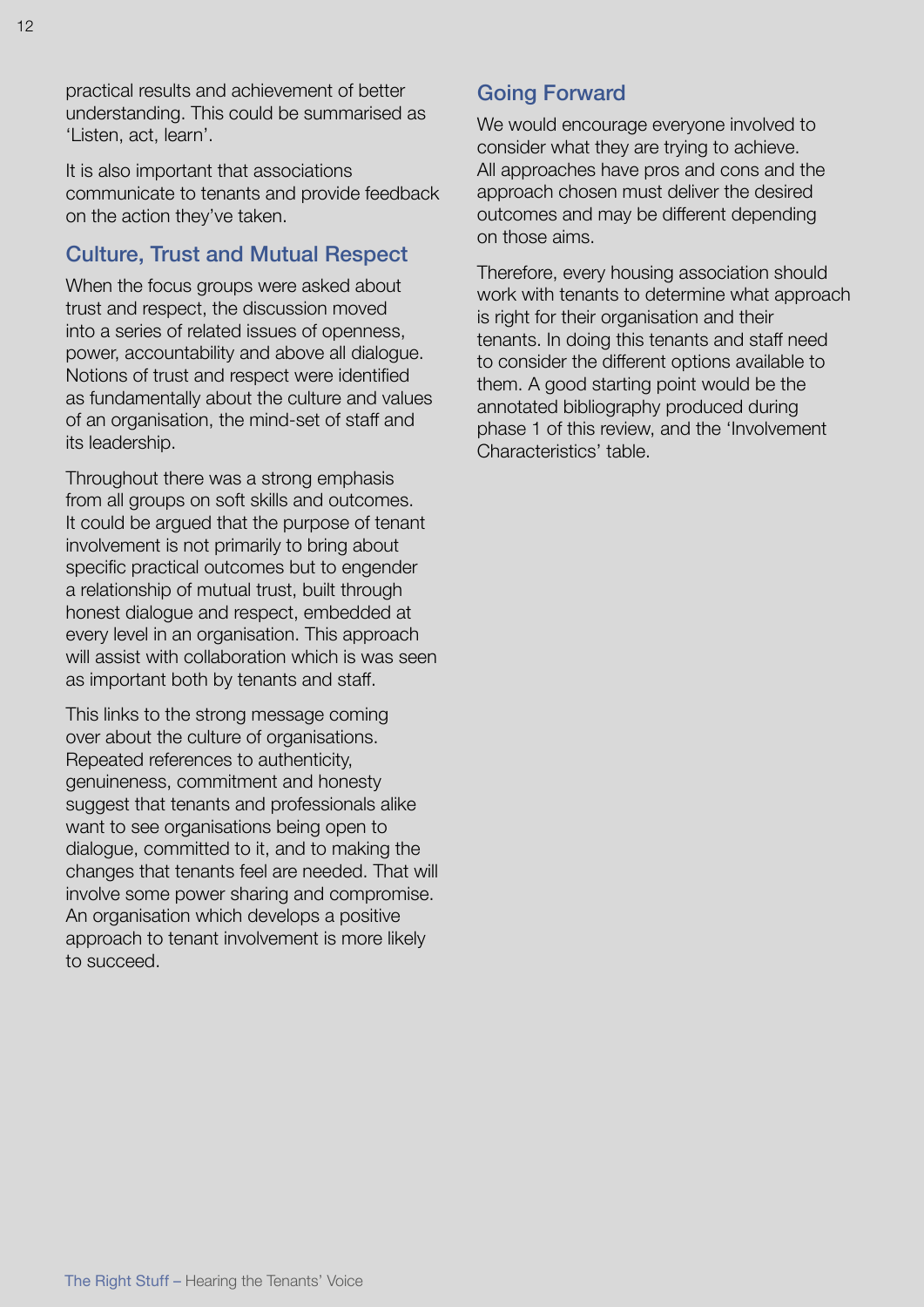It is also important that associations communicate to tenants and provide feedback on the action they've taken.

## Culture, Trust and Mutual Respect

When the focus groups were asked about trust and respect, the discussion moved into a series of related issues of openness, power, accountability and above all dialogue. Notions of trust and respect were identified as fundamentally about the culture and values of an organisation, the mind-set of staff and its leadership.

Throughout there was a strong emphasis from all groups on soft skills and outcomes. It could be argued that the purpose of tenant involvement is not primarily to bring about specific practical outcomes but to engender a relationship of mutual trust, built through honest dialogue and respect, embedded at every level in an organisation. This approach will assist with collaboration which is was seen as important both by tenants and staff.

This links to the strong message coming over about the culture of organisations. Repeated references to authenticity, genuineness, commitment and honesty suggest that tenants and professionals alike want to see organisations being open to dialogue, committed to it, and to making the changes that tenants feel are needed. That will involve some power sharing and compromise. An organisation which develops a positive approach to tenant involvement is more likely to succeed.

# Going Forward

We would encourage everyone involved to consider what they are trying to achieve. All approaches have pros and cons and the approach chosen must deliver the desired outcomes and may be different depending on those aims.

Therefore, every housing association should work with tenants to determine what approach is right for their organisation and their tenants. In doing this tenants and staff need to consider the different options available to them. A good starting point would be the annotated bibliography produced during phase 1 of this review, and the 'Involvement Characteristics' table.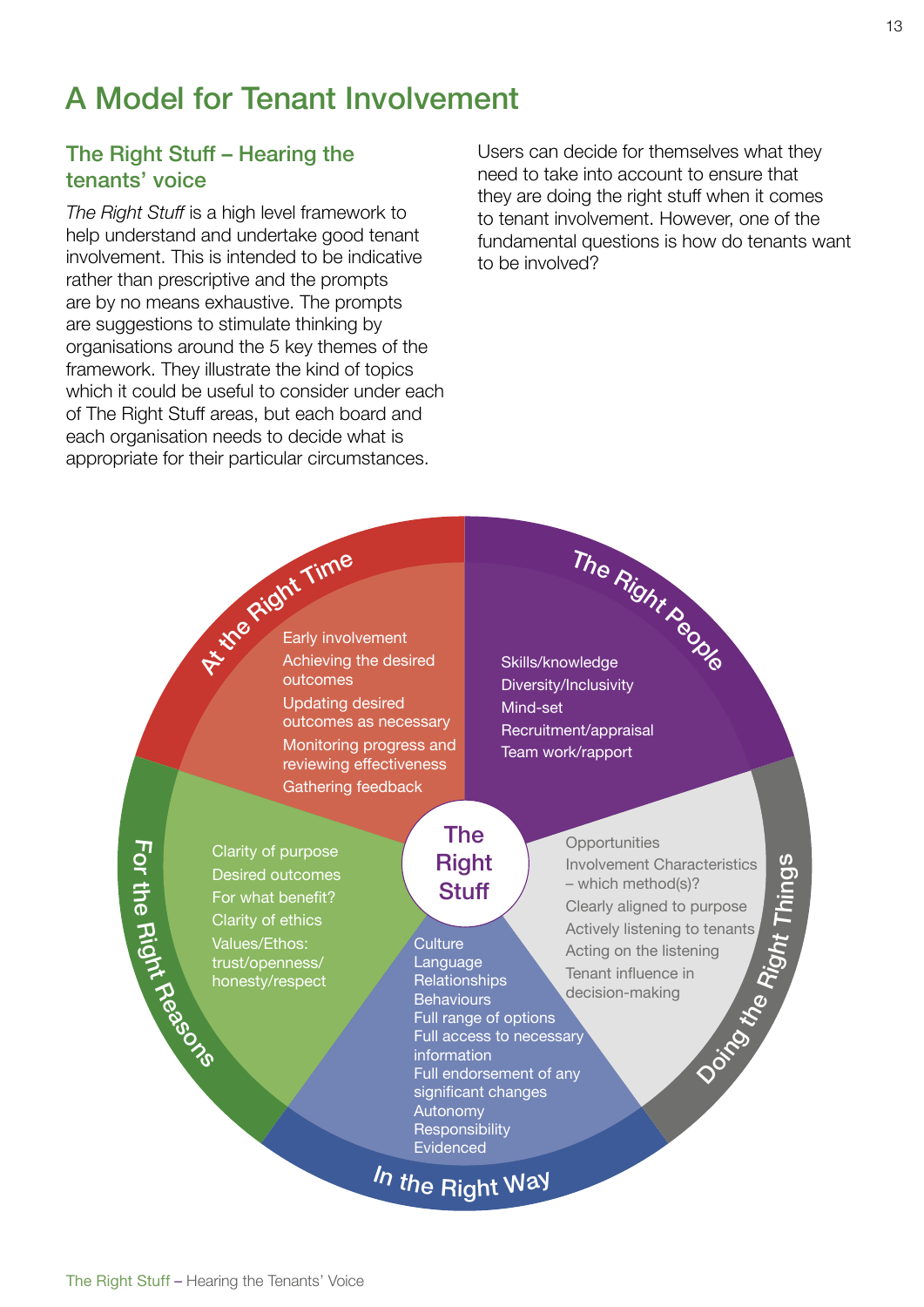# A Model for Tenant Involvement

# The Right Stuff – Hearing the tenants' voice

*The Right Stuff* is a high level framework to help understand and undertake good tenant involvement. This is intended to be indicative rather than prescriptive and the prompts are by no means exhaustive. The prompts are suggestions to stimulate thinking by organisations around the 5 key themes of the framework. They illustrate the kind of topics which it could be useful to consider under each of The Right Stuff areas, but each board and each organisation needs to decide what is appropriate for their particular circumstances.

Users can decide for themselves what they need to take into account to ensure that they are doing the right stuff when it comes to tenant involvement. However, one of the fundamental questions is how do tenants want to be involved?

**At the Right Time** Early involvement Achieving the desired outcomes Updating desired outcomes as necessary Monitoring progress and reviewing effectiveness Gathering feedback

The Right People Skills/knowledge Diversity/Inclusivity Mind-set Recruitment/appraisal Team work/rapport

 $\mathbf{L}$ o r きょうかん こうしゃ こうしゃ こうしゃ かんじょう かんしゃく かんきょう かんきょう かんきょう かんきょう しょうせいしゃ e Right

Reasons Clarity of purpose Desired outcomes For what benefit? Clarity of ethics Values/Ethos: trust/openness/ honesty/respect

### The Right **Stuff**

**Culture Language Relationships Behaviours** Full range of options Full access to necessary information Full endorsement of any significant changes Autonomy **Responsibility** Evidenced

In the Right Way

#### **Opportunities**

the Involvement Characteristics – which method(s)? Clearly aligned to purpose Actively listening to tenants Acting on the listening Tenant influence in decision-making

Doing D

Right Thin  $\sigma$  $\boldsymbol{\omega}$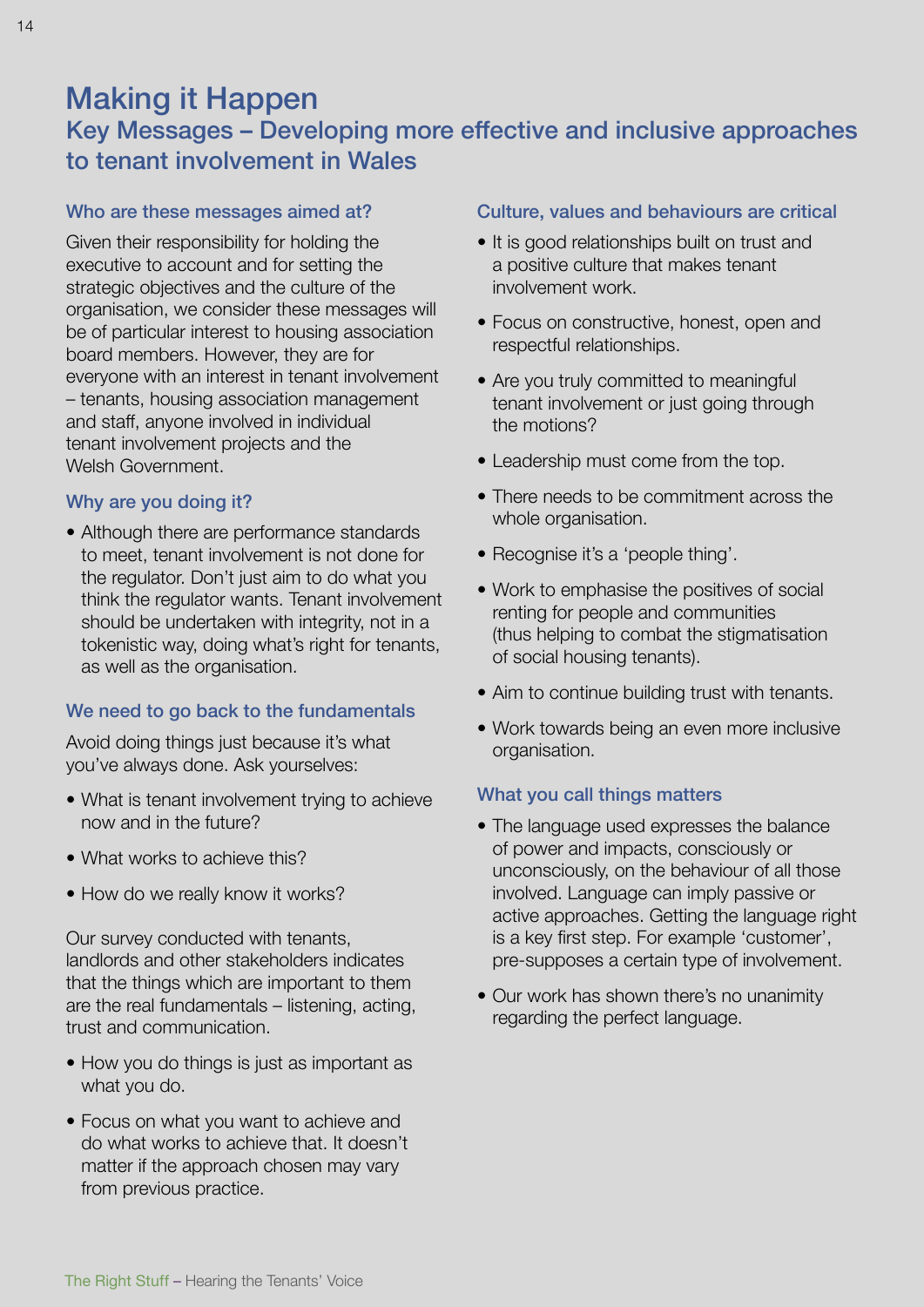# Making it Happen

# Key Messages – Developing more effective and inclusive approaches to tenant involvement in Wales

### Who are these messages aimed at?

Given their responsibility for holding the executive to account and for setting the strategic objectives and the culture of the organisation, we consider these messages will be of particular interest to housing association board members. However, they are for everyone with an interest in tenant involvement – tenants, housing association management and staff, anyone involved in individual tenant involvement projects and the Welsh Government.

#### Why are you doing it?

• Although there are performance standards to meet, tenant involvement is not done for the regulator. Don't just aim to do what you think the regulator wants. Tenant involvement should be undertaken with integrity, not in a tokenistic way, doing what's right for tenants, as well as the organisation.

### We need to go back to the fundamentals

Avoid doing things just because it's what you've always done. Ask yourselves:

- What is tenant involvement trying to achieve now and in the future?
- What works to achieve this?
- How do we really know it works?

Our survey conducted with tenants, landlords and other stakeholders indicates that the things which are important to them are the real fundamentals – listening, acting, trust and communication.

- How you do things is just as important as what you do.
- Focus on what you want to achieve and do what works to achieve that. It doesn't matter if the approach chosen may vary from previous practice.

#### Culture, values and behaviours are critical

- It is good relationships built on trust and a positive culture that makes tenant involvement work.
- Focus on constructive, honest, open and respectful relationships.
- Are you truly committed to meaningful tenant involvement or just going through the motions?
- Leadership must come from the top.
- There needs to be commitment across the whole organisation.
- Recognise it's a 'people thing'.
- Work to emphasise the positives of social renting for people and communities (thus helping to combat the stigmatisation of social housing tenants).
- Aim to continue building trust with tenants.
- Work towards being an even more inclusive organisation.

#### What you call things matters

- The language used expresses the balance of power and impacts, consciously or unconsciously, on the behaviour of all those involved. Language can imply passive or active approaches. Getting the language right is a key first step. For example 'customer', pre-supposes a certain type of involvement.
- Our work has shown there's no unanimity regarding the perfect language.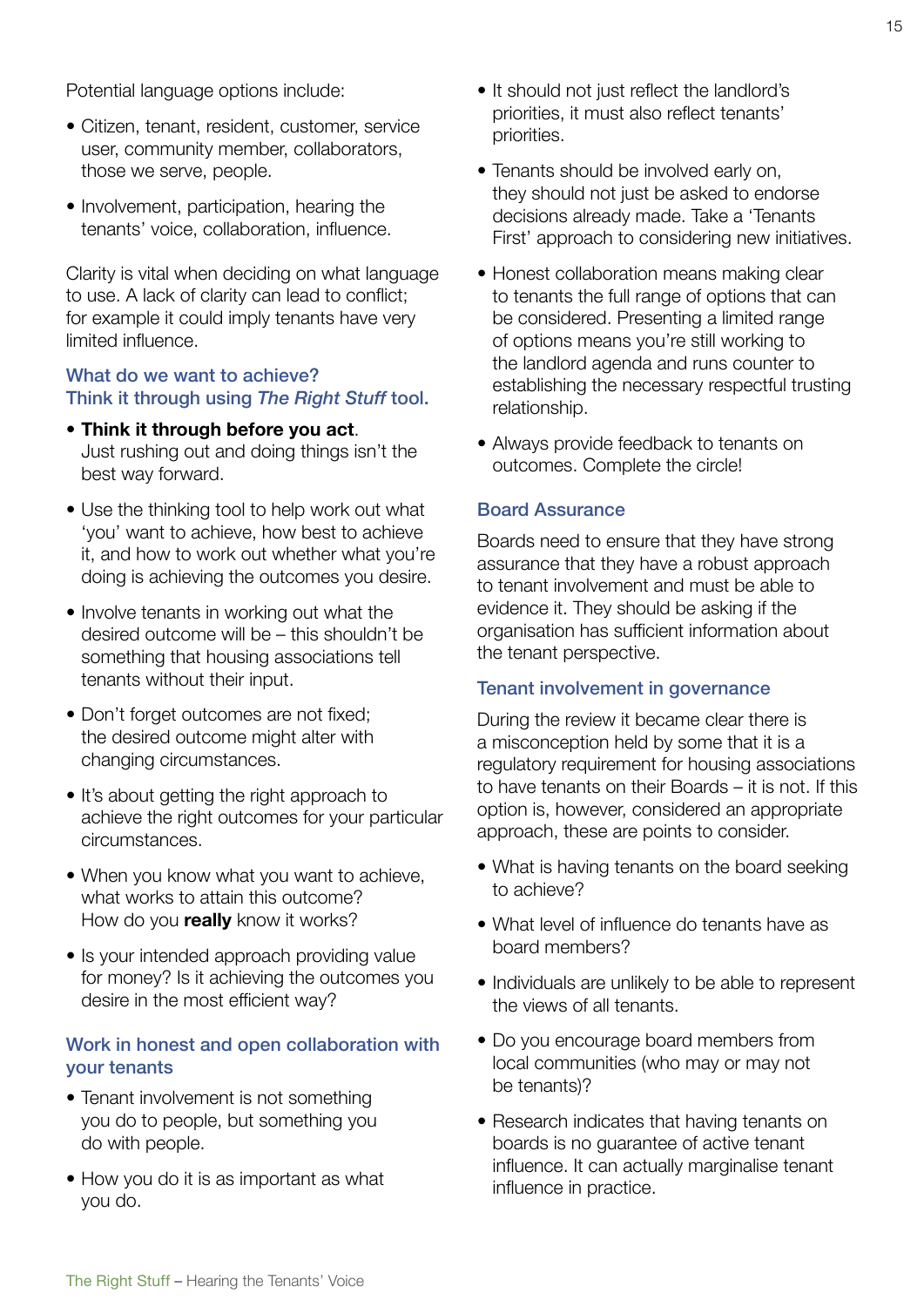Potential language options include:

- Citizen, tenant, resident, customer, service user, community member, collaborators, those we serve, people.
- Involvement, participation, hearing the tenants' voice, collaboration, influence.

Clarity is vital when deciding on what language to use. A lack of clarity can lead to conflict; for example it could imply tenants have very limited influence.

#### What do we want to achieve? Think it through using *The Right Stuff* tool.

- **Think it through before you act**. Just rushing out and doing things isn't the best way forward.
- Use the thinking tool to help work out what 'you' want to achieve, how best to achieve it, and how to work out whether what you're doing is achieving the outcomes you desire.
- Involve tenants in working out what the desired outcome will be – this shouldn't be something that housing associations tell tenants without their input.
- Don't forget outcomes are not fixed; the desired outcome might alter with changing circumstances.
- It's about getting the right approach to achieve the right outcomes for your particular circumstances.
- When you know what you want to achieve, what works to attain this outcome? How do you **really** know it works?
- Is your intended approach providing value for money? Is it achieving the outcomes you desire in the most efficient way?

#### Work in honest and open collaboration with your tenants

- Tenant involvement is not something you do to people, but something you do with people.
- How you do it is as important as what you do.
- It should not just reflect the landlord's priorities, it must also reflect tenants' priorities.
- Tenants should be involved early on, they should not just be asked to endorse decisions already made. Take a 'Tenants First' approach to considering new initiatives.
- Honest collaboration means making clear to tenants the full range of options that can be considered. Presenting a limited range of options means you're still working to the landlord agenda and runs counter to establishing the necessary respectful trusting relationship.
- Always provide feedback to tenants on outcomes. Complete the circle!

#### Board Assurance

Boards need to ensure that they have strong assurance that they have a robust approach to tenant involvement and must be able to evidence it. They should be asking if the organisation has sufficient information about the tenant perspective.

#### Tenant involvement in governance

During the review it became clear there is a misconception held by some that it is a regulatory requirement for housing associations to have tenants on their Boards – it is not. If this option is, however, considered an appropriate approach, these are points to consider.

- What is having tenants on the board seeking to achieve?
- What level of influence do tenants have as board members?
- Individuals are unlikely to be able to represent the views of all tenants.
- Do you encourage board members from local communities (who may or may not be tenants)?
- Research indicates that having tenants on boards is no guarantee of active tenant influence. It can actually marginalise tenant influence in practice.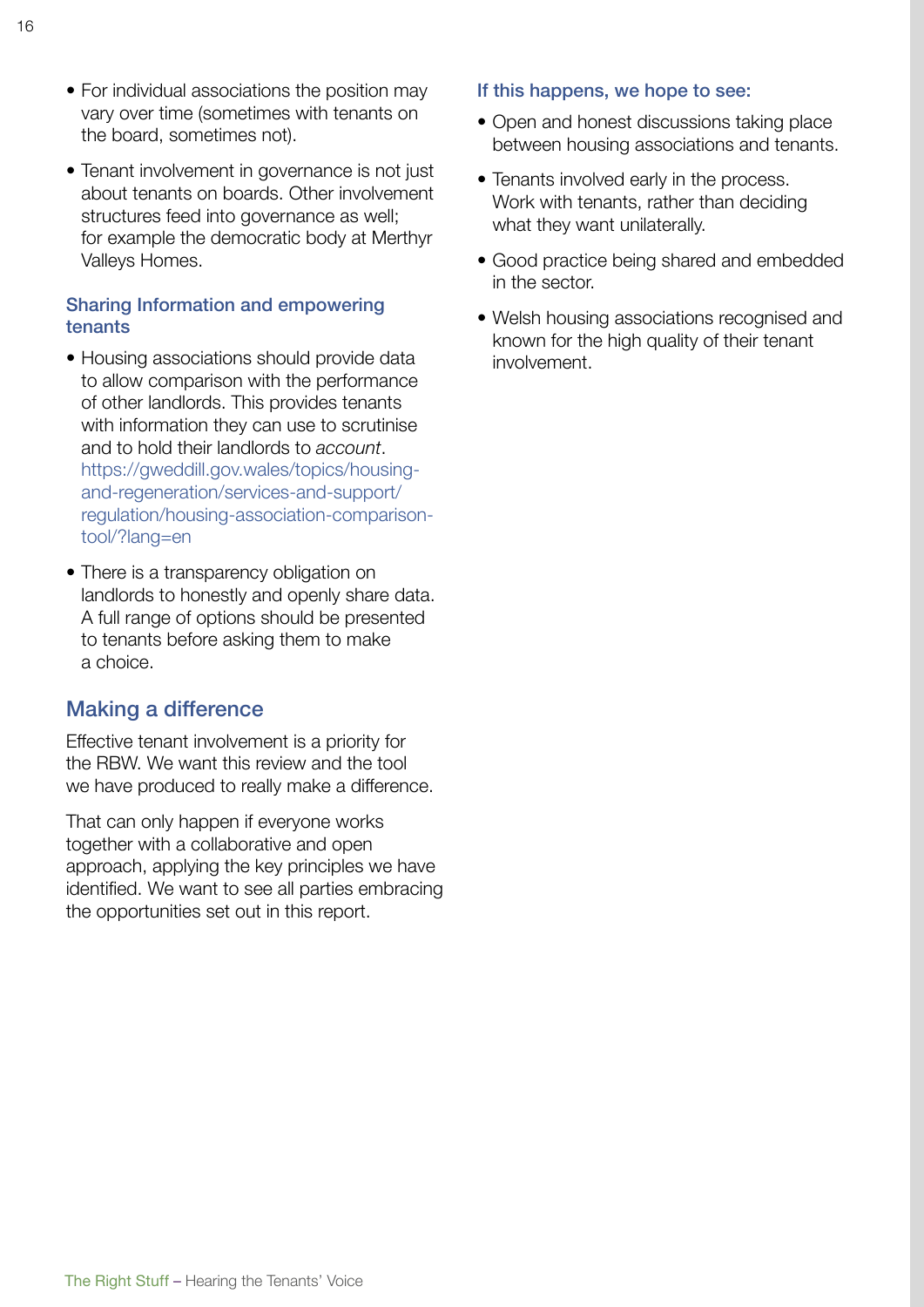- For individual associations the position may vary over time (sometimes with tenants on the board, sometimes not).
- Tenant involvement in governance is not just about tenants on boards. Other involvement structures feed into governance as well; for example the democratic body at Merthyr Valleys Homes.

#### Sharing Information and empowering tenants

- Housing associations should provide data to allow comparison with the performance of other landlords. This provides tenants with information they can use to scrutinise and to hold their landlords to *account*. [https://gweddill.gov.wales/topics/housing](https://gweddill.gov.wales/topics/housing-and-regeneration/services-and-support/regulation/housing-association-comparison-tool/?lang=en)[and-regeneration/services-and-support/](https://gweddill.gov.wales/topics/housing-and-regeneration/services-and-support/regulation/housing-association-comparison-tool/?lang=en) [regulation/housing-association-comparison](https://gweddill.gov.wales/topics/housing-and-regeneration/services-and-support/regulation/housing-association-comparison-tool/?lang=en)[tool/?lang=en](https://gweddill.gov.wales/topics/housing-and-regeneration/services-and-support/regulation/housing-association-comparison-tool/?lang=en)
- There is a transparency obligation on landlords to honestly and openly share data. A full range of options should be presented to tenants before asking them to make a choice.

### Making a difference

Effective tenant involvement is a priority for the RBW. We want this review and the tool we have produced to really make a difference.

That can only happen if everyone works together with a collaborative and open approach, applying the key principles we have identified. We want to see all parties embracing the opportunities set out in this report.

#### If this happens, we hope to see:

- Open and honest discussions taking place between housing associations and tenants.
- Tenants involved early in the process. Work with tenants, rather than deciding what they want unilaterally.
- Good practice being shared and embedded in the sector.
- Welsh housing associations recognised and known for the high quality of their tenant involvement.